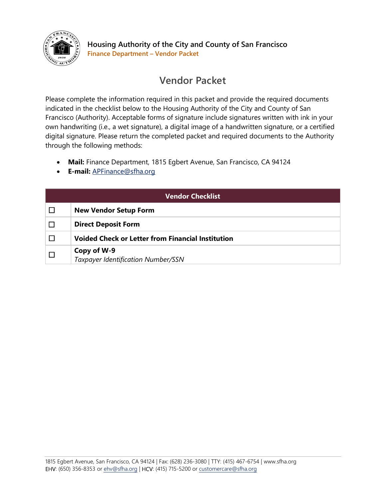

## Vendor Packet

Please complete the information required in this packet and provide the required documents indicated in the checklist below to the Housing Authority of the City and County of San Francisco (Authority). Acceptable forms of signature include signatures written with ink in your own handwriting (i.e., a wet signature), a digital image of a handwritten signature, or a certified digital signature. Please return the completed packet and required documents to the Authority through the following methods:

- Mail: Finance Department, 1815 Egbert Avenue, San Francisco, CA 94124
- E-mail: APFinance@sfha.org

| <b>Vendor Checklist</b> |                                                          |  |
|-------------------------|----------------------------------------------------------|--|
|                         | <b>New Vendor Setup Form</b>                             |  |
|                         | <b>Direct Deposit Form</b>                               |  |
|                         | <b>Voided Check or Letter from Financial Institution</b> |  |
|                         | Copy of W-9<br>Taxpayer Identification Number/SSN        |  |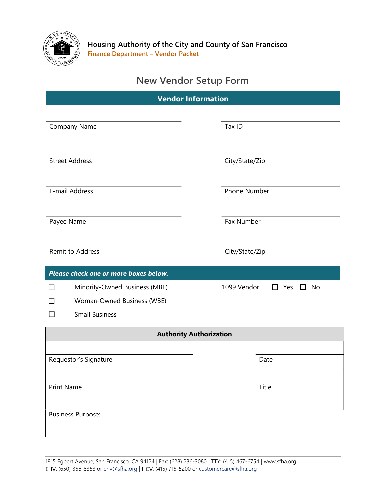

## New Vendor Setup Form

| <b>Vendor Information</b>             |                                            |  |  |
|---------------------------------------|--------------------------------------------|--|--|
|                                       |                                            |  |  |
| Company Name                          | Tax ID                                     |  |  |
|                                       |                                            |  |  |
| <b>Street Address</b>                 | City/State/Zip                             |  |  |
|                                       |                                            |  |  |
| E-mail Address                        | Phone Number                               |  |  |
| Payee Name                            | <b>Fax Number</b>                          |  |  |
|                                       |                                            |  |  |
| <b>Remit to Address</b>               | City/State/Zip                             |  |  |
| Please check one or more boxes below. |                                            |  |  |
| Minority-Owned Business (MBE)<br>H    | 1099 Vendor<br>Yes<br><b>No</b><br>ΙI<br>H |  |  |
| Woman-Owned Business (WBE)            |                                            |  |  |
| <b>Small Business</b><br>$\mathsf{L}$ |                                            |  |  |
| <b>Authority Authorization</b>        |                                            |  |  |
|                                       |                                            |  |  |
| Requestor's Signature                 | Date                                       |  |  |
| <b>Print Name</b>                     | Title                                      |  |  |
|                                       |                                            |  |  |
| <b>Business Purpose:</b>              |                                            |  |  |
|                                       |                                            |  |  |